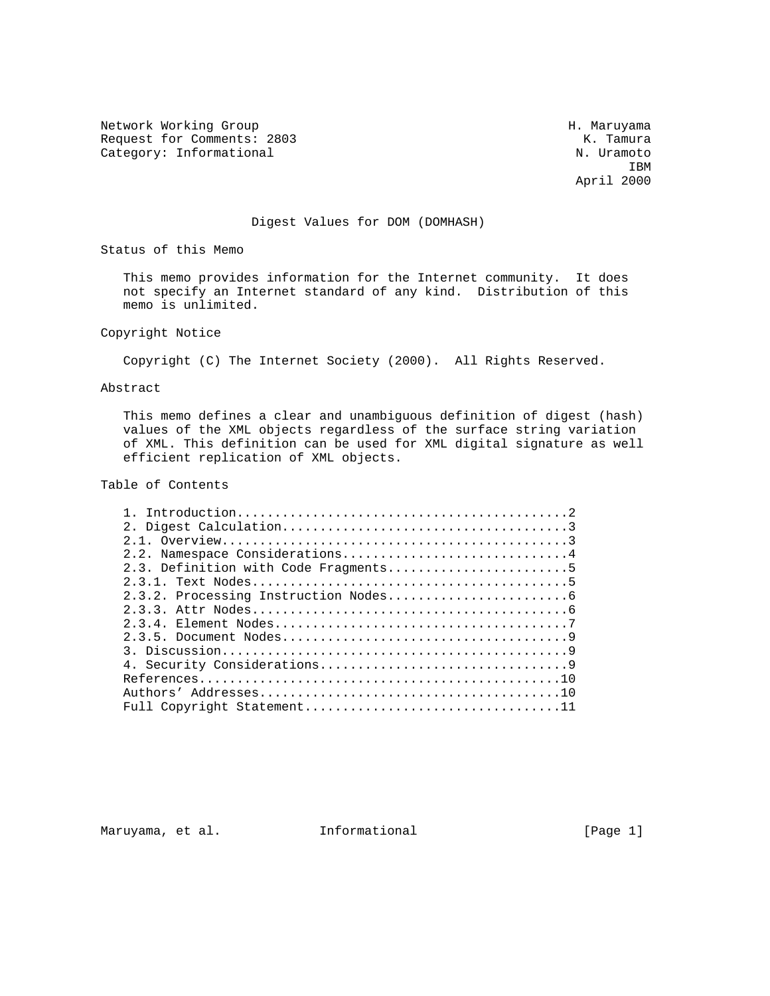Network Working Group Network Working Group H. Maruyama Request for Comments: 2803 K. Tamura<br>Category: Informational M. Uramoto Category: Informational

**IBM IBM** April 2000

#### Digest Values for DOM (DOMHASH)

Status of this Memo

 This memo provides information for the Internet community. It does not specify an Internet standard of any kind. Distribution of this memo is unlimited.

# Copyright Notice

Copyright (C) The Internet Society (2000). All Rights Reserved.

### Abstract

 This memo defines a clear and unambiguous definition of digest (hash) values of the XML objects regardless of the surface string variation of XML. This definition can be used for XML digital signature as well efficient replication of XML objects.

## Table of Contents

| 2.2. Namespace Considerations4       |  |  |
|--------------------------------------|--|--|
| 2.3. Definition with Code Fragments5 |  |  |
|                                      |  |  |
|                                      |  |  |
|                                      |  |  |
|                                      |  |  |
|                                      |  |  |
|                                      |  |  |
|                                      |  |  |
|                                      |  |  |
|                                      |  |  |
|                                      |  |  |

Maruyama, et al. 1nformational 1999 [Page 1]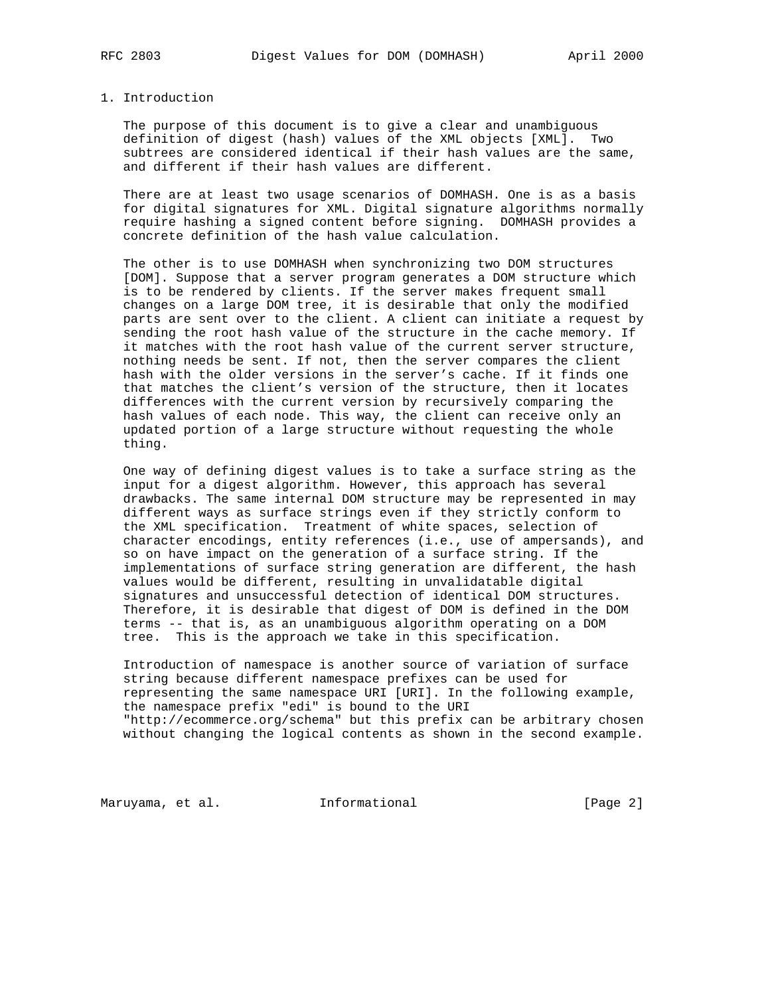#### 1. Introduction

 The purpose of this document is to give a clear and unambiguous definition of digest (hash) values of the XML objects [XML]. Two subtrees are considered identical if their hash values are the same, and different if their hash values are different.

 There are at least two usage scenarios of DOMHASH. One is as a basis for digital signatures for XML. Digital signature algorithms normally require hashing a signed content before signing. DOMHASH provides a concrete definition of the hash value calculation.

 The other is to use DOMHASH when synchronizing two DOM structures [DOM]. Suppose that a server program generates a DOM structure which is to be rendered by clients. If the server makes frequent small changes on a large DOM tree, it is desirable that only the modified parts are sent over to the client. A client can initiate a request by sending the root hash value of the structure in the cache memory. If it matches with the root hash value of the current server structure, nothing needs be sent. If not, then the server compares the client hash with the older versions in the server's cache. If it finds one that matches the client's version of the structure, then it locates differences with the current version by recursively comparing the hash values of each node. This way, the client can receive only an updated portion of a large structure without requesting the whole thing.

 One way of defining digest values is to take a surface string as the input for a digest algorithm. However, this approach has several drawbacks. The same internal DOM structure may be represented in may different ways as surface strings even if they strictly conform to the XML specification. Treatment of white spaces, selection of character encodings, entity references (i.e., use of ampersands), and so on have impact on the generation of a surface string. If the implementations of surface string generation are different, the hash values would be different, resulting in unvalidatable digital signatures and unsuccessful detection of identical DOM structures. Therefore, it is desirable that digest of DOM is defined in the DOM terms -- that is, as an unambiguous algorithm operating on a DOM tree. This is the approach we take in this specification.

 Introduction of namespace is another source of variation of surface string because different namespace prefixes can be used for representing the same namespace URI [URI]. In the following example, the namespace prefix "edi" is bound to the URI "http://ecommerce.org/schema" but this prefix can be arbitrary chosen without changing the logical contents as shown in the second example.

Maruyama, et al. 1nformational 1999 [Page 2]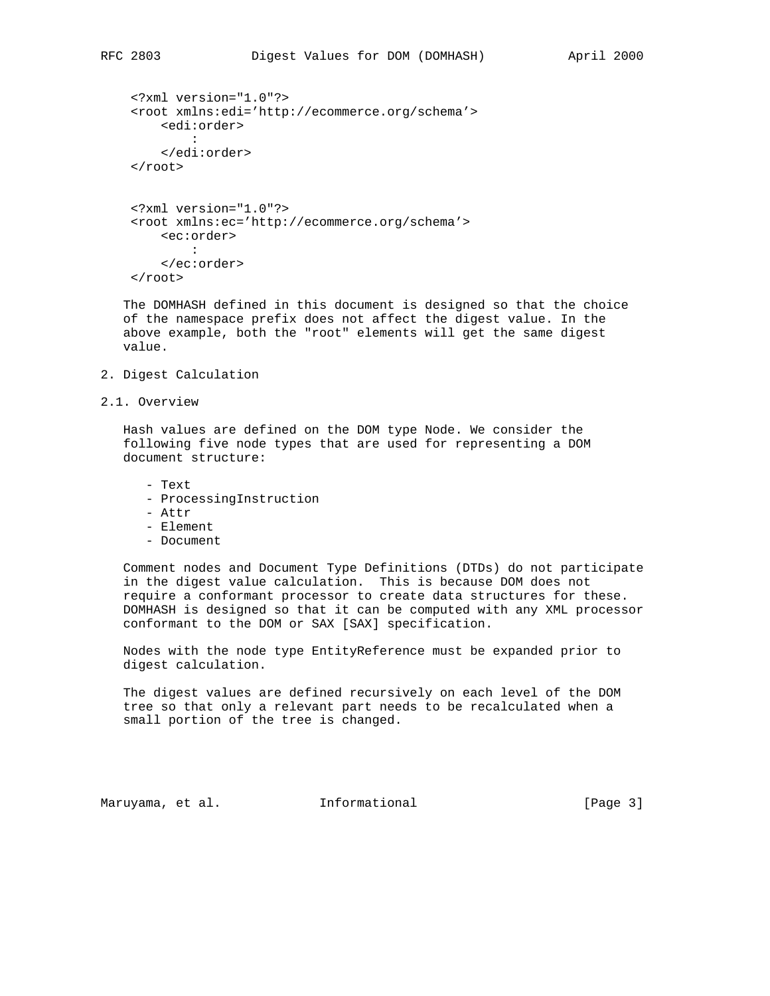```
 <?xml version="1.0"?>
    <root xmlns:edi='http://ecommerce.org/schema'>
         <edi:order>
 :
         </edi:order>
    </root>
    <?xml version="1.0"?>
    <root xmlns:ec='http://ecommerce.org/schema'>
        <ec:order>
```

```
 :
      </ec:order>
   </root>
```
 The DOMHASH defined in this document is designed so that the choice of the namespace prefix does not affect the digest value. In the above example, both the "root" elements will get the same digest value.

- 2. Digest Calculation
- 2.1. Overview

 Hash values are defined on the DOM type Node. We consider the following five node types that are used for representing a DOM document structure:

- Text

- ProcessingInstruction
- Attr
- Element
- Document

 Comment nodes and Document Type Definitions (DTDs) do not participate in the digest value calculation. This is because DOM does not require a conformant processor to create data structures for these. DOMHASH is designed so that it can be computed with any XML processor conformant to the DOM or SAX [SAX] specification.

 Nodes with the node type EntityReference must be expanded prior to digest calculation.

 The digest values are defined recursively on each level of the DOM tree so that only a relevant part needs to be recalculated when a small portion of the tree is changed.

Maruyama, et al. 1nformational 1999 [Page 3]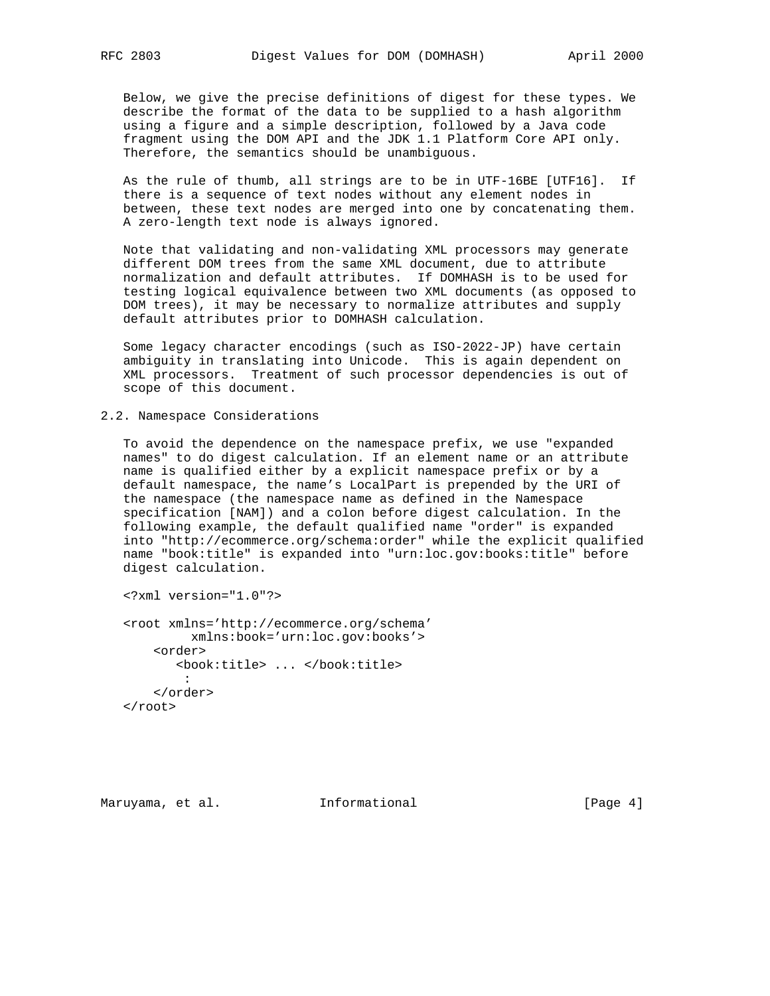Below, we give the precise definitions of digest for these types. We describe the format of the data to be supplied to a hash algorithm using a figure and a simple description, followed by a Java code fragment using the DOM API and the JDK 1.1 Platform Core API only. Therefore, the semantics should be unambiguous.

 As the rule of thumb, all strings are to be in UTF-16BE [UTF16]. If there is a sequence of text nodes without any element nodes in between, these text nodes are merged into one by concatenating them. A zero-length text node is always ignored.

 Note that validating and non-validating XML processors may generate different DOM trees from the same XML document, due to attribute normalization and default attributes. If DOMHASH is to be used for testing logical equivalence between two XML documents (as opposed to DOM trees), it may be necessary to normalize attributes and supply default attributes prior to DOMHASH calculation.

 Some legacy character encodings (such as ISO-2022-JP) have certain ambiguity in translating into Unicode. This is again dependent on XML processors. Treatment of such processor dependencies is out of scope of this document.

2.2. Namespace Considerations

 To avoid the dependence on the namespace prefix, we use "expanded names" to do digest calculation. If an element name or an attribute name is qualified either by a explicit namespace prefix or by a default namespace, the name's LocalPart is prepended by the URI of the namespace (the namespace name as defined in the Namespace specification [NAM]) and a colon before digest calculation. In the following example, the default qualified name "order" is expanded into "http://ecommerce.org/schema:order" while the explicit qualified name "book:title" is expanded into "urn:loc.gov:books:title" before digest calculation.

<?xml version="1.0"?>

 <root xmlns='http://ecommerce.org/schema' xmlns:book='urn:loc.gov:books'> <order> <book:title> ... </book:title> : </order> </root>

Maruyama, et al. 1nformational 1999 [Page 4]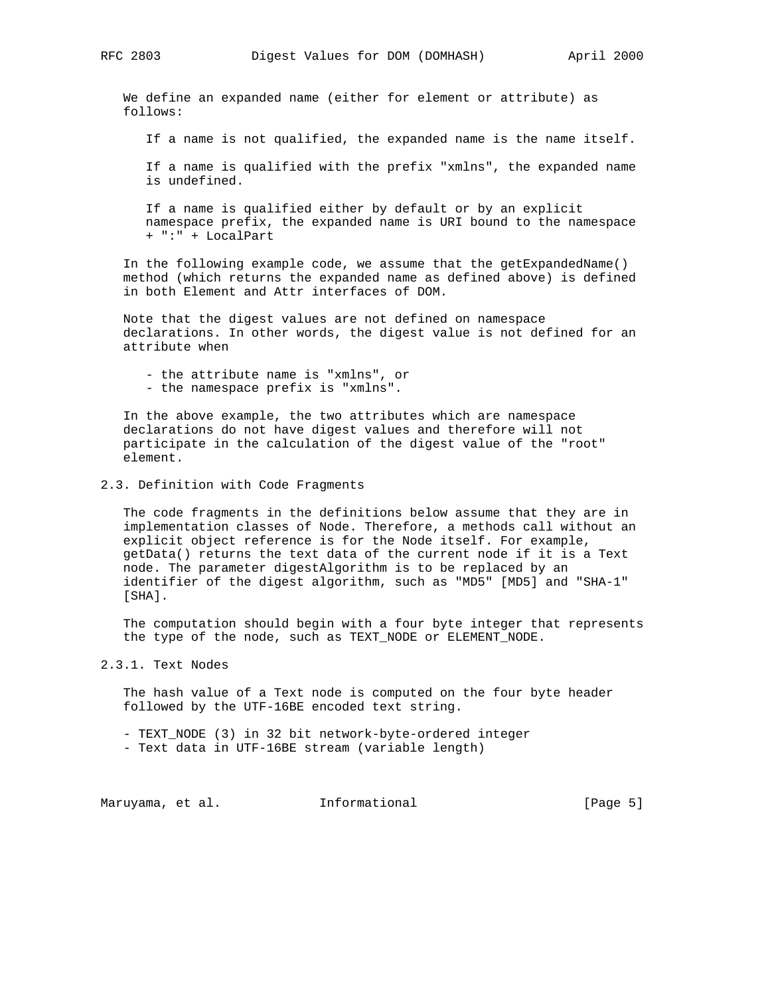We define an expanded name (either for element or attribute) as follows:

If a name is not qualified, the expanded name is the name itself.

 If a name is qualified with the prefix "xmlns", the expanded name is undefined.

 If a name is qualified either by default or by an explicit namespace prefix, the expanded name is URI bound to the namespace + ":" + LocalPart

 In the following example code, we assume that the getExpandedName() method (which returns the expanded name as defined above) is defined in both Element and Attr interfaces of DOM.

 Note that the digest values are not defined on namespace declarations. In other words, the digest value is not defined for an attribute when

- the attribute name is "xmlns", or
- the namespace prefix is "xmlns".

 In the above example, the two attributes which are namespace declarations do not have digest values and therefore will not participate in the calculation of the digest value of the "root" element.

#### 2.3. Definition with Code Fragments

 The code fragments in the definitions below assume that they are in implementation classes of Node. Therefore, a methods call without an explicit object reference is for the Node itself. For example, getData() returns the text data of the current node if it is a Text node. The parameter digestAlgorithm is to be replaced by an identifier of the digest algorithm, such as "MD5" [MD5] and "SHA-1" [SHA].

 The computation should begin with a four byte integer that represents the type of the node, such as TEXT NODE or ELEMENT NODE.

2.3.1. Text Nodes

 The hash value of a Text node is computed on the four byte header followed by the UTF-16BE encoded text string.

- TEXT\_NODE (3) in 32 bit network-byte-ordered integer

- Text data in UTF-16BE stream (variable length)

Maruyama, et al. 1nformational 1999 [Page 5]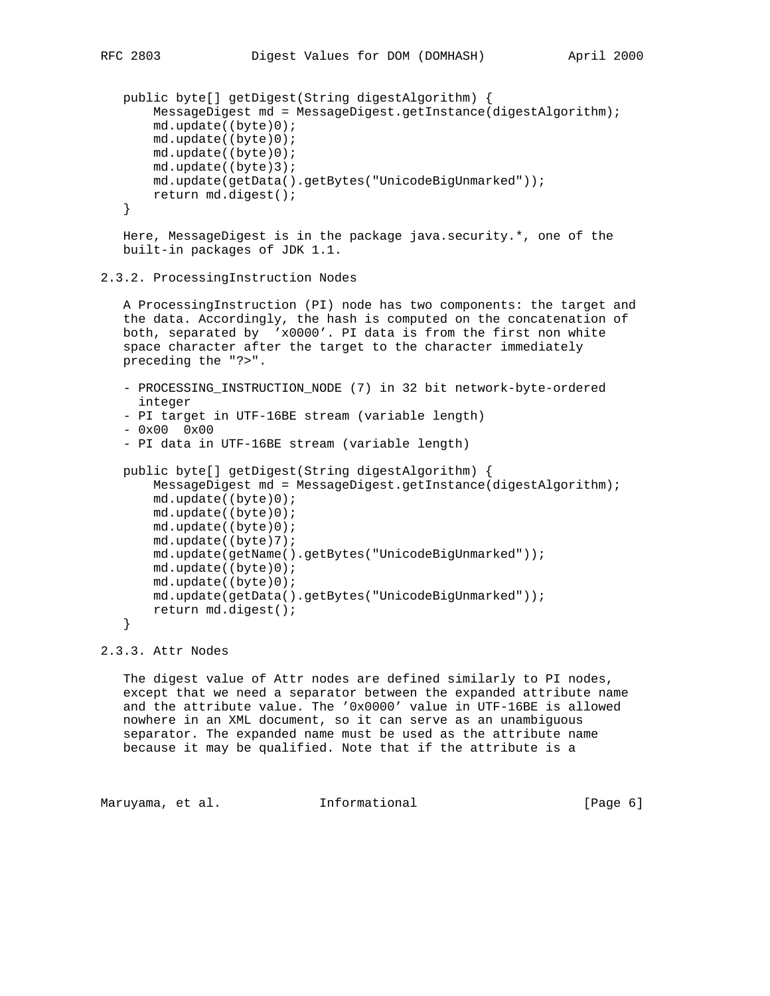```
 public byte[] getDigest(String digestAlgorithm) {
     MessageDigest md = MessageDigest.getInstance(digestAlgorithm);
     md.update((byte)0);
    md.update((byte)0);
    md.update((byte)0);
    md.update((byte)3);
    md.update(getData().getBytes("UnicodeBigUnmarked"));
    return md.digest();
 }
```
 Here, MessageDigest is in the package java.security.\*, one of the built-in packages of JDK 1.1.

#### 2.3.2. ProcessingInstruction Nodes

 A ProcessingInstruction (PI) node has two components: the target and the data. Accordingly, the hash is computed on the concatenation of both, separated by 'x0000'. PI data is from the first non white space character after the target to the character immediately preceding the "?>".

- PROCESSING\_INSTRUCTION\_NODE (7) in 32 bit network-byte-ordered integer
- PI target in UTF-16BE stream (variable length)

```
- 0x00 0x00
```
- PI data in UTF-16BE stream (variable length)

```
 public byte[] getDigest(String digestAlgorithm) {
     MessageDigest md = MessageDigest.getInstance(digestAlgorithm);
     md.update((byte)0);
     md.update((byte)0);
     md.update((byte)0);
     md.update((byte)7);
     md.update(getName().getBytes("UnicodeBigUnmarked"));
     md.update((byte)0);
     md.update((byte)0);
     md.update(getData().getBytes("UnicodeBigUnmarked"));
     return md.digest();
 }
```

```
2.3.3. Attr Nodes
```
 The digest value of Attr nodes are defined similarly to PI nodes, except that we need a separator between the expanded attribute name and the attribute value. The '0x0000' value in UTF-16BE is allowed nowhere in an XML document, so it can serve as an unambiguous separator. The expanded name must be used as the attribute name because it may be qualified. Note that if the attribute is a

Maruyama, et al. 1nformational 1999 (Page 6)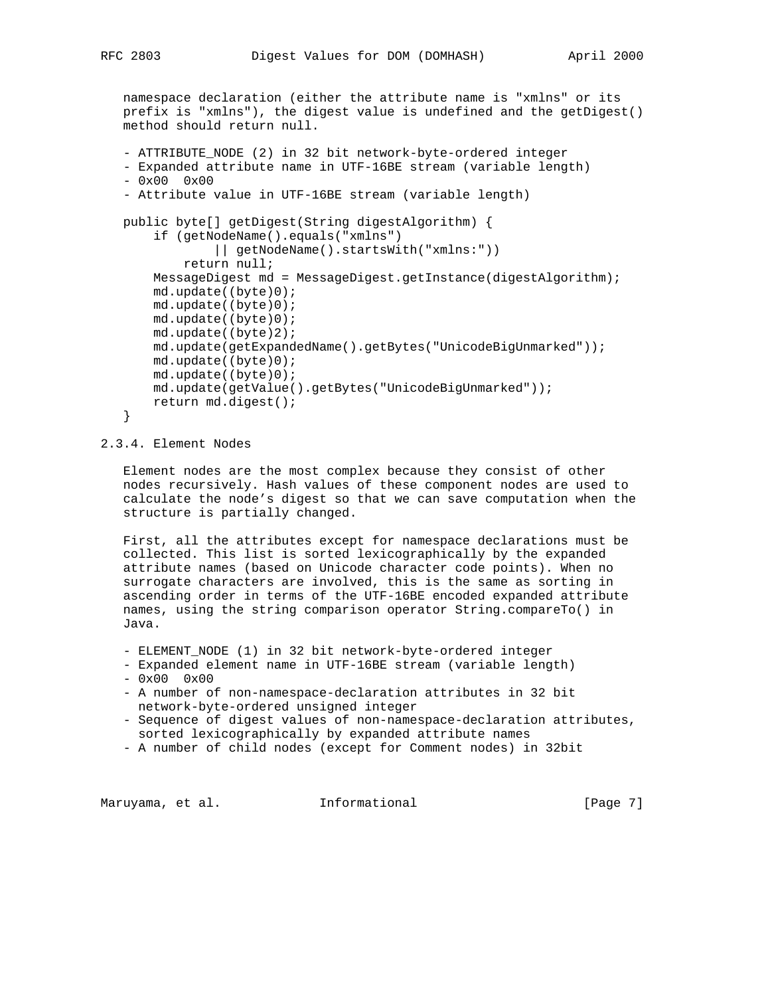namespace declaration (either the attribute name is "xmlns" or its prefix is "xmlns"), the digest value is undefined and the getDigest() method should return null.

```
 - ATTRIBUTE_NODE (2) in 32 bit network-byte-ordered integer
 - Expanded attribute name in UTF-16BE stream (variable length)
- 0x00 0x00 - Attribute value in UTF-16BE stream (variable length)
 public byte[] getDigest(String digestAlgorithm) {
     if (getNodeName().equals("xmlns")
            || getNodeName().startsWith("xmlns:"))
         return null;
     MessageDigest md = MessageDigest.getInstance(digestAlgorithm);
     md.update((byte)0);
     md.update((byte)0);
     md.update((byte)0);
     md.update((byte)2);
     md.update(getExpandedName().getBytes("UnicodeBigUnmarked"));
     md.update((byte)0);
     md.update((byte)0);
     md.update(getValue().getBytes("UnicodeBigUnmarked"));
     return md.digest();
 }
```
### 2.3.4. Element Nodes

 Element nodes are the most complex because they consist of other nodes recursively. Hash values of these component nodes are used to calculate the node's digest so that we can save computation when the structure is partially changed.

 First, all the attributes except for namespace declarations must be collected. This list is sorted lexicographically by the expanded attribute names (based on Unicode character code points). When no surrogate characters are involved, this is the same as sorting in ascending order in terms of the UTF-16BE encoded expanded attribute names, using the string comparison operator String.compareTo() in Java.

- ELEMENT\_NODE (1) in 32 bit network-byte-ordered integer
- Expanded element name in UTF-16BE stream (variable length)

```
- 0x00 0x00
```
- A number of non-namespace-declaration attributes in 32 bit network-byte-ordered unsigned integer
- Sequence of digest values of non-namespace-declaration attributes, sorted lexicographically by expanded attribute names
- A number of child nodes (except for Comment nodes) in 32bit

Maruyama, et al. 1nformational 1999 [Page 7]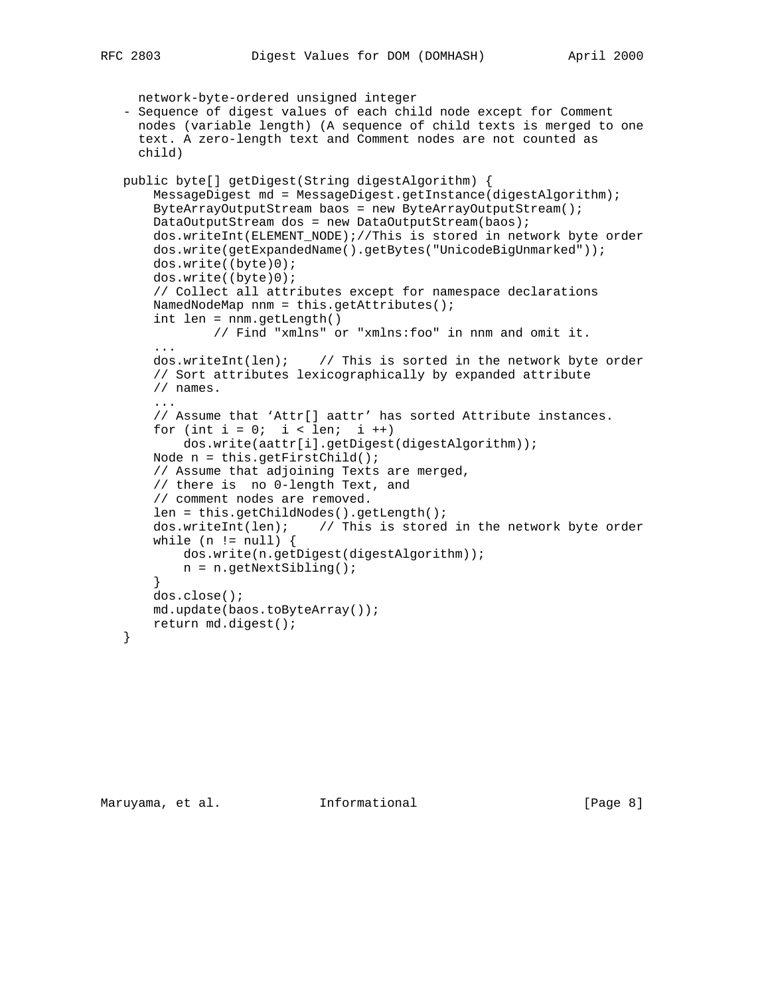```
 network-byte-ordered unsigned integer
   - Sequence of digest values of each child node except for Comment
     nodes (variable length) (A sequence of child texts is merged to one
     text. A zero-length text and Comment nodes are not counted as
     child)
   public byte[] getDigest(String digestAlgorithm) {
       MessageDigest md = MessageDigest.getInstance(digestAlgorithm);
       ByteArrayOutputStream baos = new ByteArrayOutputStream();
       DataOutputStream dos = new DataOutputStream(baos);
       dos.writeInt(ELEMENT_NODE);//This is stored in network byte order
       dos.write(getExpandedName().getBytes("UnicodeBigUnmarked"));
       dos.write((byte)0);
       dos.write((byte)0);
       // Collect all attributes except for namespace declarations
       NamedNodeMap nnm = this.getAttributes();
       int len = nnm.getLength()
               // Find "xmlns" or "xmlns:foo" in nnm and omit it.
 ...
       dos.writeInt(len); // This is sorted in the network byte order
       // Sort attributes lexicographically by expanded attribute
       // names.
 ...
       // Assume that 'Attr[] aattr' has sorted Attribute instances.
      for (int i = 0; i < len; i ++)
           dos.write(aattr[i].getDigest(digestAlgorithm));
       Node n = this.getFirstChild();
       // Assume that adjoining Texts are merged,
       // there is no 0-length Text, and
       // comment nodes are removed.
       len = this.getChildNodes().getLength();
       dos.writeInt(len); // This is stored in the network byte order
      while (n := null) {
           dos.write(n.getDigest(digestAlgorithm));
           n = n.getNextSibling();
       }
       dos.close();
       md.update(baos.toByteArray());
       return md.digest();
   }
```
Maruyama, et al. 1nformational 1999 [Page 8]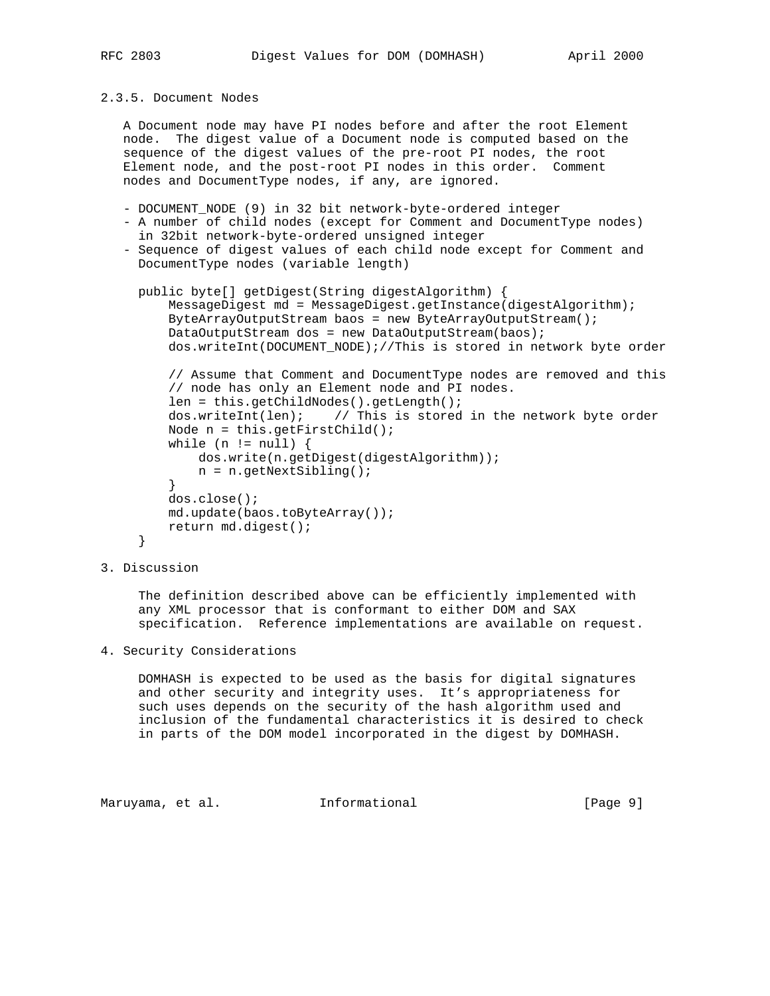```
2.3.5. Document Nodes
```
 A Document node may have PI nodes before and after the root Element node. The digest value of a Document node is computed based on the sequence of the digest values of the pre-root PI nodes, the root Element node, and the post-root PI nodes in this order. Comment nodes and DocumentType nodes, if any, are ignored.

- DOCUMENT\_NODE (9) in 32 bit network-byte-ordered integer
- A number of child nodes (except for Comment and DocumentType nodes) in 32bit network-byte-ordered unsigned integer
- Sequence of digest values of each child node except for Comment and DocumentType nodes (variable length)

```
 public byte[] getDigest(String digestAlgorithm) {
         MessageDigest md = MessageDigest.getInstance(digestAlgorithm);
         ByteArrayOutputStream baos = new ByteArrayOutputStream();
         DataOutputStream dos = new DataOutputStream(baos);
         dos.writeInt(DOCUMENT_NODE);//This is stored in network byte order
         // Assume that Comment and DocumentType nodes are removed and this
         // node has only an Element node and PI nodes.
         len = this.getChildNodes().getLength();
         dos.writeInt(len); // This is stored in the network byte order
         Node n = this.getFirstChild();
        while (n := null) {
             dos.write(n.getDigest(digestAlgorithm));
             n = n.getNextSibling();
 }
         dos.close();
         md.update(baos.toByteArray());
         return md.digest();
      }
```
3. Discussion

 The definition described above can be efficiently implemented with any XML processor that is conformant to either DOM and SAX specification. Reference implementations are available on request.

4. Security Considerations

 DOMHASH is expected to be used as the basis for digital signatures and other security and integrity uses. It's appropriateness for such uses depends on the security of the hash algorithm used and inclusion of the fundamental characteristics it is desired to check in parts of the DOM model incorporated in the digest by DOMHASH.

Maruyama, et al. 1nformational 1999 [Page 9]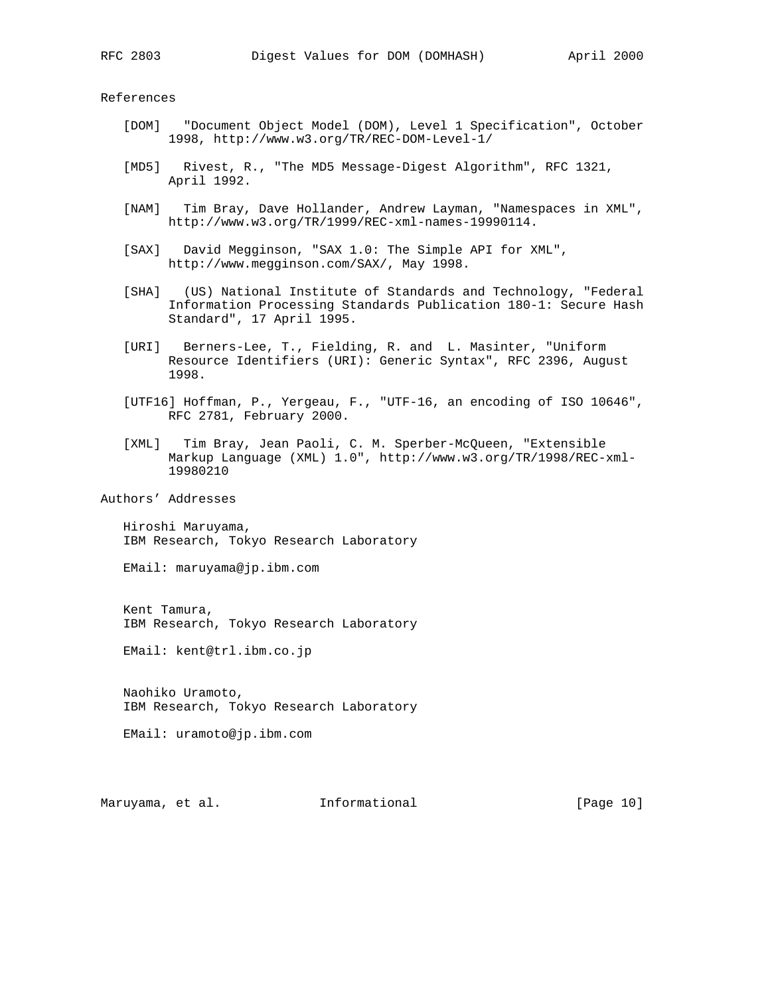References

- [DOM] "Document Object Model (DOM), Level 1 Specification", October 1998, http://www.w3.org/TR/REC-DOM-Level-1/
- [MD5] Rivest, R., "The MD5 Message-Digest Algorithm", RFC 1321, April 1992.
- [NAM] Tim Bray, Dave Hollander, Andrew Layman, "Namespaces in XML", http://www.w3.org/TR/1999/REC-xml-names-19990114.
- [SAX] David Megginson, "SAX 1.0: The Simple API for XML", http://www.megginson.com/SAX/, May 1998.
- [SHA] (US) National Institute of Standards and Technology, "Federal Information Processing Standards Publication 180-1: Secure Hash Standard", 17 April 1995.
- [URI] Berners-Lee, T., Fielding, R. and L. Masinter, "Uniform Resource Identifiers (URI): Generic Syntax", RFC 2396, August 1998.
- [UTF16] Hoffman, P., Yergeau, F., "UTF-16, an encoding of ISO 10646", RFC 2781, February 2000.
- [XML] Tim Bray, Jean Paoli, C. M. Sperber-McQueen, "Extensible Markup Language (XML) 1.0", http://www.w3.org/TR/1998/REC-xml- 19980210

Authors' Addresses

 Hiroshi Maruyama, IBM Research, Tokyo Research Laboratory

EMail: maruyama@jp.ibm.com

 Kent Tamura, IBM Research, Tokyo Research Laboratory

EMail: kent@trl.ibm.co.jp

 Naohiko Uramoto, IBM Research, Tokyo Research Laboratory

EMail: uramoto@jp.ibm.com

Maruyama, et al. **Informational** [Page 10]